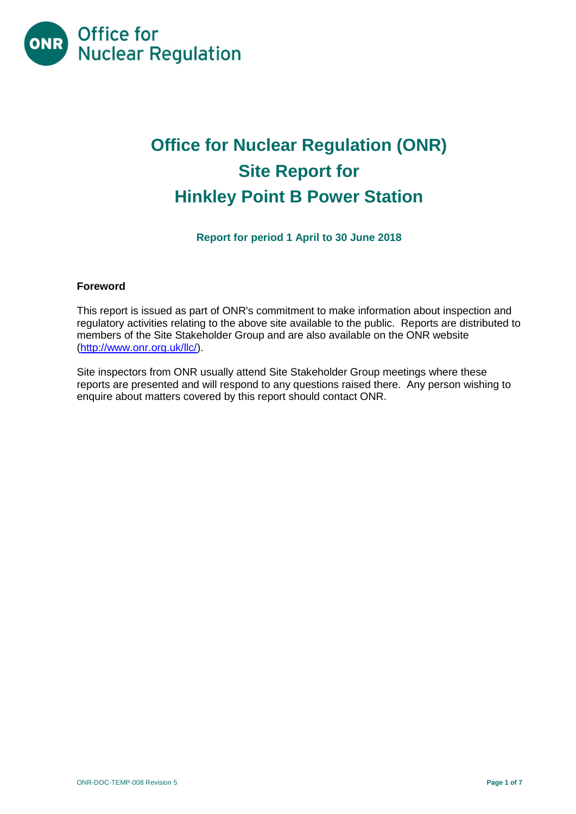

# **Office for Nuclear Regulation (ONR) Site Report for Hinkley Point B Power Station**

**Report for period 1 April to 30 June 2018**

# **Foreword**

This report is issued as part of ONR's commitment to make information about inspection and regulatory activities relating to the above site available to the public. Reports are distributed to members of the Site Stakeholder Group and are also available on the ONR website [\(http://www.onr.org.uk/llc/\)](http://www.onr.org.uk/llc/).

Site inspectors from ONR usually attend Site Stakeholder Group meetings where these reports are presented and will respond to any questions raised there. Any person wishing to enquire about matters covered by this report should contact ONR.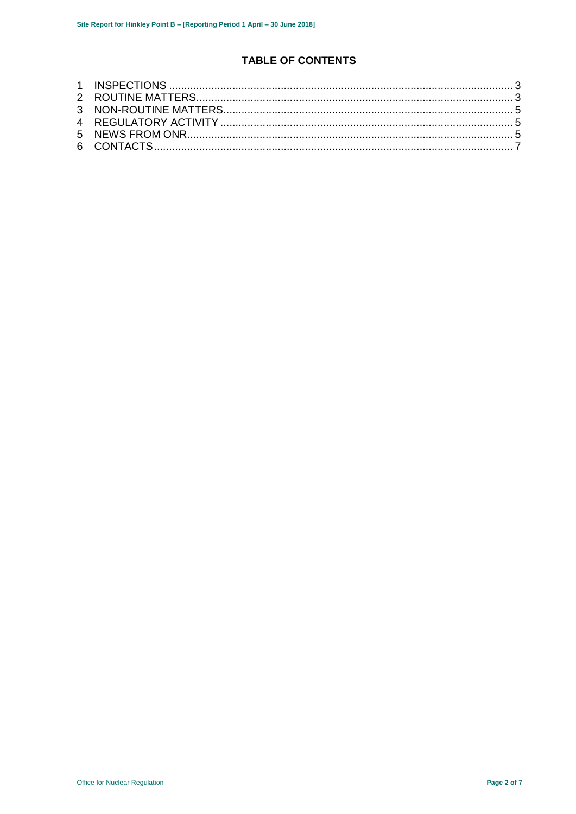# **TABLE OF CONTENTS**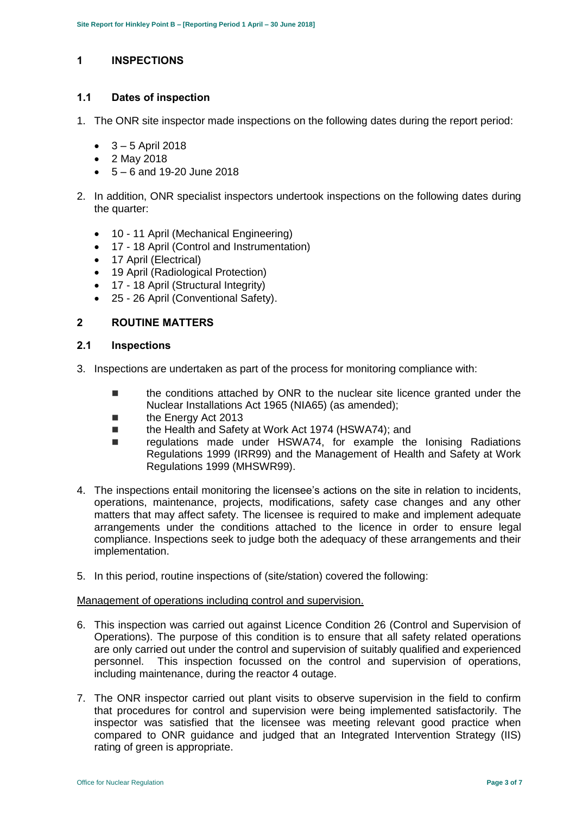# <span id="page-2-0"></span>**1 INSPECTIONS**

#### **1.1 Dates of inspection**

- 1. The ONR site inspector made inspections on the following dates during the report period:
	- $-3 5$  April 2018
	- 2 May 2018
	- $-5 6$  and 19-20 June 2018
- 2. In addition, ONR specialist inspectors undertook inspections on the following dates during the quarter:
	- 10 11 April (Mechanical Engineering)
	- 17 18 April (Control and Instrumentation)
	- 17 April (Electrical)
	- 19 April (Radiological Protection)
	- 17 18 April (Structural Integrity)
	- 25 26 April (Conventional Safety).

#### <span id="page-2-1"></span>**2 ROUTINE MATTERS**

#### **2.1 Inspections**

- 3. Inspections are undertaken as part of the process for monitoring compliance with:
	- **the conditions attached by ONR to the nuclear site licence granted under the** Nuclear Installations Act 1965 (NIA65) (as amended);
	- **the Energy Act 2013**
	- the Health and Safety at Work Act 1974 (HSWA74); and
	- regulations made under HSWA74, for example the Ionising Radiations Regulations 1999 (IRR99) and the Management of Health and Safety at Work Regulations 1999 (MHSWR99).
- 4. The inspections entail monitoring the licensee's actions on the site in relation to incidents, operations, maintenance, projects, modifications, safety case changes and any other matters that may affect safety. The licensee is required to make and implement adequate arrangements under the conditions attached to the licence in order to ensure legal compliance. Inspections seek to judge both the adequacy of these arrangements and their implementation.
- 5. In this period, routine inspections of (site/station) covered the following:

#### Management of operations including control and supervision.

- 6. This inspection was carried out against Licence Condition 26 (Control and Supervision of Operations). The purpose of this condition is to ensure that all safety related operations are only carried out under the control and supervision of suitably qualified and experienced personnel. This inspection focussed on the control and supervision of operations, including maintenance, during the reactor 4 outage.
- 7. The ONR inspector carried out plant visits to observe supervision in the field to confirm that procedures for control and supervision were being implemented satisfactorily. The inspector was satisfied that the licensee was meeting relevant good practice when compared to ONR guidance and judged that an Integrated Intervention Strategy (IIS) rating of green is appropriate.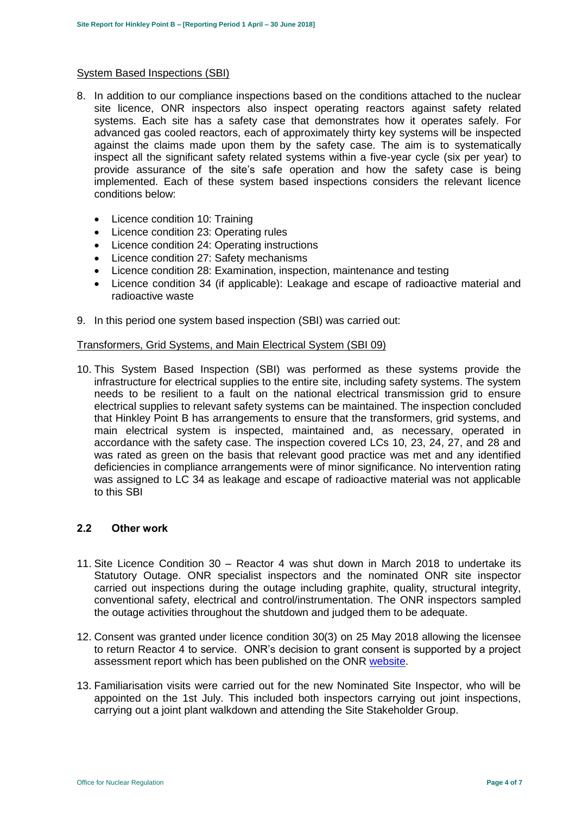#### System Based Inspections (SBI)

- 8. In addition to our compliance inspections based on the conditions attached to the nuclear site licence, ONR inspectors also inspect operating reactors against safety related systems. Each site has a safety case that demonstrates how it operates safely. For advanced gas cooled reactors, each of approximately thirty key systems will be inspected against the claims made upon them by the safety case. The aim is to systematically inspect all the significant safety related systems within a five-year cycle (six per year) to provide assurance of the site's safe operation and how the safety case is being implemented. Each of these system based inspections considers the relevant licence conditions below:
	- Licence condition 10: Training
	- Licence condition 23: Operating rules
	- Licence condition 24: Operating instructions
	- Licence condition 27: Safety mechanisms
	- Licence condition 28: Examination, inspection, maintenance and testing
	- Licence condition 34 (if applicable): Leakage and escape of radioactive material and radioactive waste
- 9. In this period one system based inspection (SBI) was carried out:

#### Transformers, Grid Systems, and Main Electrical System (SBI 09)

10. This System Based Inspection (SBI) was performed as these systems provide the infrastructure for electrical supplies to the entire site, including safety systems. The system needs to be resilient to a fault on the national electrical transmission grid to ensure electrical supplies to relevant safety systems can be maintained. The inspection concluded that Hinkley Point B has arrangements to ensure that the transformers, grid systems, and main electrical system is inspected, maintained and, as necessary, operated in accordance with the safety case. The inspection covered LCs 10, 23, 24, 27, and 28 and was rated as green on the basis that relevant good practice was met and any identified deficiencies in compliance arrangements were of minor significance. No intervention rating was assigned to LC 34 as leakage and escape of radioactive material was not applicable to this SBI

#### **2.2 Other work**

- 11. Site Licence Condition 30 Reactor 4 was shut down in March 2018 to undertake its Statutory Outage. ONR specialist inspectors and the nominated ONR site inspector carried out inspections during the outage including graphite, quality, structural integrity, conventional safety, electrical and control/instrumentation. The ONR inspectors sampled the outage activities throughout the shutdown and judged them to be adequate.
- 12. Consent was granted under licence condition 30(3) on 25 May 2018 allowing the licensee to return Reactor 4 to service. ONR's decision to grant consent is supported by a project assessment report which has been published on the ONR [website.](http://www.onr.org.uk/pars/2018/index.htm)
- 13. Familiarisation visits were carried out for the new Nominated Site Inspector, who will be appointed on the 1st July. This included both inspectors carrying out joint inspections, carrying out a joint plant walkdown and attending the Site Stakeholder Group.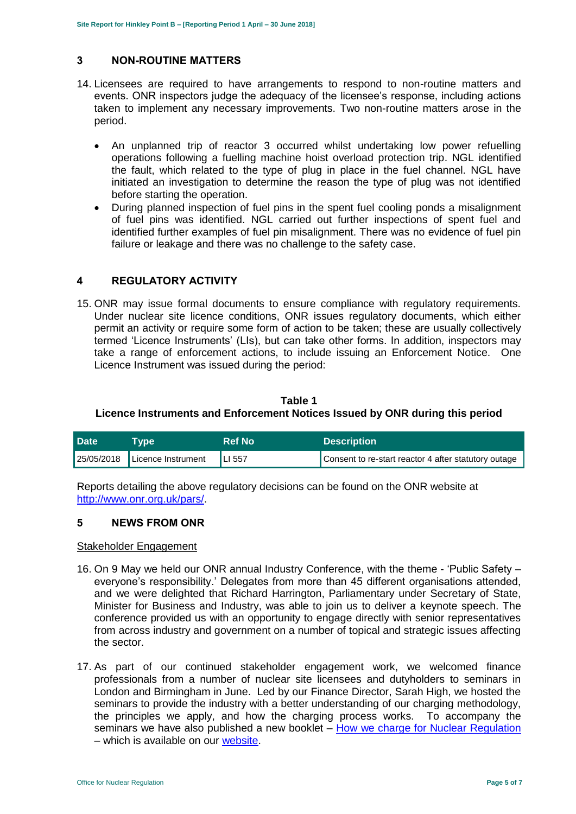# <span id="page-4-0"></span>**3 NON-ROUTINE MATTERS**

- 14. Licensees are required to have arrangements to respond to non-routine matters and events. ONR inspectors judge the adequacy of the licensee's response, including actions taken to implement any necessary improvements. Two non-routine matters arose in the period.
	- An unplanned trip of reactor 3 occurred whilst undertaking low power refuelling operations following a fuelling machine hoist overload protection trip. NGL identified the fault, which related to the type of plug in place in the fuel channel. NGL have initiated an investigation to determine the reason the type of plug was not identified before starting the operation.
	- During planned inspection of fuel pins in the spent fuel cooling ponds a misalignment of fuel pins was identified. NGL carried out further inspections of spent fuel and identified further examples of fuel pin misalignment. There was no evidence of fuel pin failure or leakage and there was no challenge to the safety case.

# <span id="page-4-1"></span>**4 REGULATORY ACTIVITY**

15. ONR may issue formal documents to ensure compliance with regulatory requirements. Under nuclear site licence conditions, ONR issues regulatory documents, which either permit an activity or require some form of action to be taken; these are usually collectively termed 'Licence Instruments' (LIs), but can take other forms. In addition, inspectors may take a range of enforcement actions, to include issuing an Enforcement Notice. One Licence Instrument was issued during the period:

# **Table 1 Licence Instruments and Enforcement Notices Issued by ONR during this period**

| <b>Date</b> | <b>Tvpe</b>        | <b>Ref No</b> | <b>Description</b>                                   |
|-------------|--------------------|---------------|------------------------------------------------------|
| 25/05/2018  | Licence Instrument | LI 557        | Consent to re-start reactor 4 after statutory outage |

Reports detailing the above regulatory decisions can be found on the ONR website at [http://www.onr.org.uk/pars/.](http://www.onr.org.uk/pars/)

# <span id="page-4-2"></span>**5 NEWS FROM ONR**

#### Stakeholder Engagement

- 16. On 9 May we held our ONR annual Industry Conference, with the theme 'Public Safety everyone's responsibility.' Delegates from more than 45 different organisations attended, and we were delighted that Richard Harrington, Parliamentary under Secretary of State, Minister for Business and Industry, was able to join us to deliver a keynote speech. The conference provided us with an opportunity to engage directly with senior representatives from across industry and government on a number of topical and strategic issues affecting the sector.
- 17. As part of our continued stakeholder engagement work, we welcomed finance professionals from a number of nuclear site licensees and dutyholders to seminars in London and Birmingham in June. Led by our Finance Director, Sarah High, we hosted the seminars to provide the industry with a better understanding of our charging methodology, the principles we apply, and how the charging process works. To accompany the seminars we have also published a new booklet – [How we charge for Nuclear Regulation](http://www.onr.org.uk/documents/2018/how-we-charge-for-nuclear-regulation.pdf) – which is available on our [website.](http://www.onr.org.uk/documents/2018/how-we-charge-for-nuclear-regulation.pdf)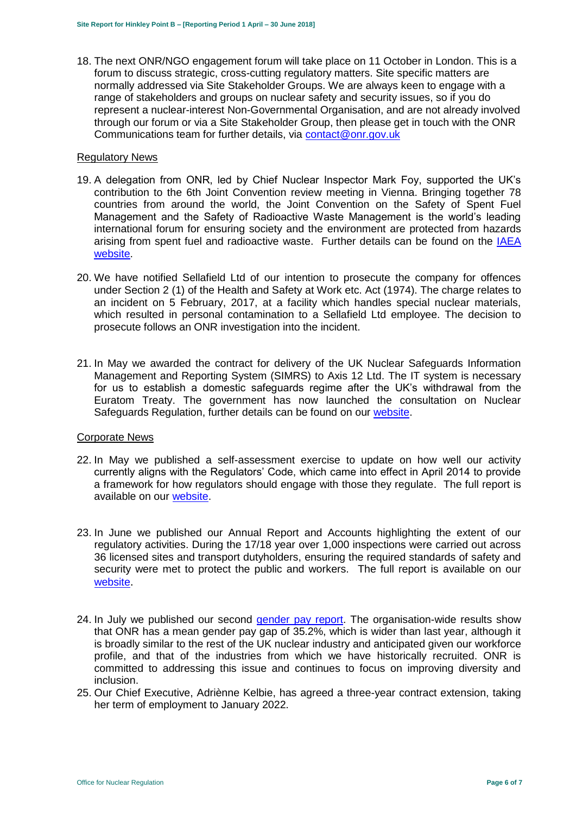18. The next ONR/NGO engagement forum will take place on 11 October in London. This is a forum to discuss strategic, cross-cutting regulatory matters. Site specific matters are normally addressed via Site Stakeholder Groups. We are always keen to engage with a range of stakeholders and groups on nuclear safety and security issues, so if you do represent a nuclear-interest Non-Governmental Organisation, and are not already involved through our forum or via a Site Stakeholder Group, then please get in touch with the ONR Communications team for further details, via [contact@onr.gov.uk](mailto:contact@onr.gov.uk)

#### Regulatory News

- 19. A delegation from ONR, led by Chief Nuclear Inspector Mark Foy, supported the UK's contribution to the 6th Joint Convention review meeting in Vienna. Bringing together 78 countries from around the world, the Joint Convention on the Safety of Spent Fuel Management and the Safety of Radioactive Waste Management is the world's leading international forum for ensuring society and the environment are protected from hazards arising from spent fuel and radioactive waste. Further details can be found on the [IAEA](https://www.iaea.org/events/sixth-review-meeting-of-the-contracting-parties-to-the-joint-convention-on-the-safety-of-spent-fuel-management-and-on-the-safety-of-radioactive-waste-management-joint-convention)  [website.](https://www.iaea.org/events/sixth-review-meeting-of-the-contracting-parties-to-the-joint-convention-on-the-safety-of-spent-fuel-management-and-on-the-safety-of-radioactive-waste-management-joint-convention)
- 20. We have notified Sellafield Ltd of our intention to prosecute the company for offences under Section 2 (1) of the Health and Safety at Work etc. Act (1974). The charge relates to an incident on 5 February, 2017, at a facility which handles special nuclear materials, which resulted in personal contamination to a Sellafield Ltd employee. The decision to prosecute follows an ONR investigation into the incident.
- 21. In May we awarded the contract for delivery of the UK Nuclear Safeguards Information Management and Reporting System (SIMRS) to Axis 12 Ltd. The IT system is necessary for us to establish a domestic safeguards regime after the UK's withdrawal from the Euratom Treaty. The government has now launched the consultation on Nuclear Safeguards Regulation, further details can be found on our [website.](http://news.onr.org.uk/2018/07/government-consults-on-nuclear-safeguards-regulations/)

#### Corporate News

- 22. In May we published a self-assessment exercise to update on how well our activity currently aligns with the Regulators' Code, which came into effect in April 2014 to provide a framework for how regulators should engage with those they regulate. The full report is available on our [website.](http://www.onr.org.uk/regulators-code.htm)
- 23. In June we published our Annual Report and Accounts highlighting the extent of our regulatory activities. During the 17/18 year over 1,000 inspections were carried out across 36 licensed sites and transport dutyholders, ensuring the required standards of safety and security were met to protect the public and workers. The full report is available on ou[r](http://news.onr.org.uk/2018/06/annual-report-and-accounts-published/) [website](http://news.onr.org.uk/2018/06/annual-report-and-accounts-published/).
- 24. In July we published our second [gender pay report.](http://news.onr.org.uk/2018/07/onr-publishes-second-gender-pay-report/) The organisation-wide results show that ONR has a mean gender pay gap of 35.2%, which is wider than last year, although it is broadly similar to the rest of the UK nuclear industry and anticipated given our workforce profile, and that of the industries from which we have historically recruited. ONR is committed to addressing this issue and continues to focus on improving diversity and inclusion.
- 25. Our Chief Executive, Adriènne Kelbie, has agreed a three-year contract extension, taking her term of employment to January 2022.